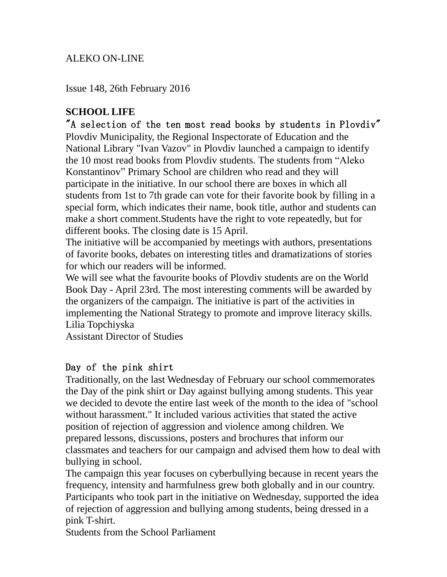## ALEKO ON-LINE

Issue 148, 26th February 2016

# **SCHOOL LIFE**

"A selection of the ten most read books by students in Plovdiv" Plovdiv Municipality, the Regional Inspectorate of Education and the National Library "Ivan Vazov" in Plovdiv launched a campaign to identify the 10 most read books from Plovdiv students. The students from "Aleko Konstantinov" Primary School are children who read and they will participate in the initiative. In our school there are boxes in which all students from 1st to 7th grade can vote for their favorite book by filling in a special form, which indicates their name, book title, author and students can make a short comment.Students have the right to vote repeatedly, but for different books. The closing date is 15 April.

The initiative will be accompanied by meetings with authors, presentations of favorite books, debates on interesting titles and dramatizations of stories for which our readers will be informed.

We will see what the favourite books of Plovdiv students are on the World Book Day - April 23rd. The most interesting comments will be awarded by the organizers of the campaign. The initiative is part of the activities in implementing the National Strategy to promote and improve literacy skills. Lilia Topchiyska

Assistant Director of Studies

#### Day of the pink shirt

Traditionally, on the last Wednesday of February our school commemorates the Day of the pink shirt or Day against bullying among students. This year we decided to devote the entire last week of the month to the idea of "school without harassment." It included various activities that stated the active position of rejection of aggression and violence among children. We prepared lessons, discussions, posters and brochures that inform our classmates and teachers for our campaign and advised them how to deal with bullying in school.

The campaign this year focuses on cyberbullying because in recent years the frequency, intensity and harmfulness grew both globally and in our country. Participants who took part in the initiative on Wednesday, supported the idea of rejection of aggression and bullying among students, being dressed in a pink T-shirt.

Students from the School Parliament